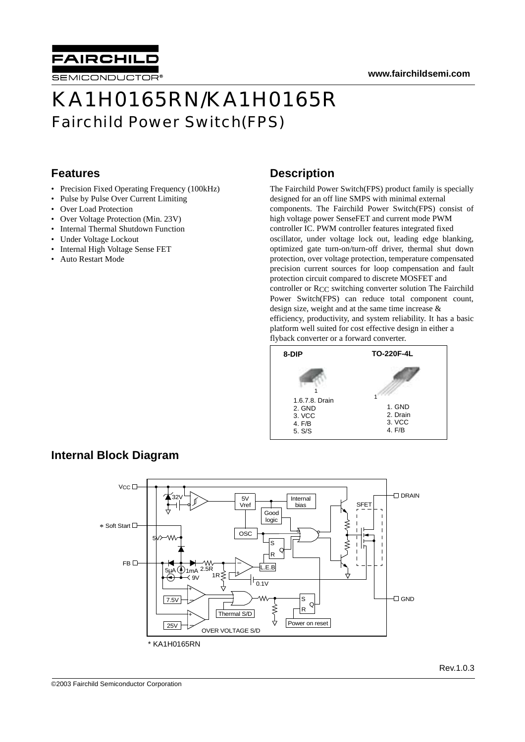



# KA1H0165RN/KA1H0165R Fairchild Power Switch(FPS)

#### **Features**

- Precision Fixed Operating Frequency (100kHz)
- Pulse by Pulse Over Current Limiting
- Over Load Protection
- Over Voltage Protection (Min. 23V)
- Internal Thermal Shutdown Function
- Under Voltage Lockout
- Internal High Voltage Sense FET
- Auto Restart Mode

#### **Description**

The Fairchild Power Switch(FPS) product family is specially designed for an off line SMPS with minimal external components. The Fairchild Power Switch(FPS) consist of high voltage power SenseFET and current mode PWM controller IC. PWM controller features integrated fixed oscillator, under voltage lock out, leading edge blanking, optimized gate turn-on/turn-off driver, thermal shut down protection, over voltage protection, temperature compensated precision current sources for loop compensation and fault protection circuit compared to discrete MOSFET and controller or RCC switching converter solution The Fairchild Power Switch(FPS) can reduce total component count, design size, weight and at the same time increase & efficiency, productivity, and system reliability. It has a basic platform well suited for cost effective design in either a flyback converter or a forward converter.



### **Internal Block Diagram**

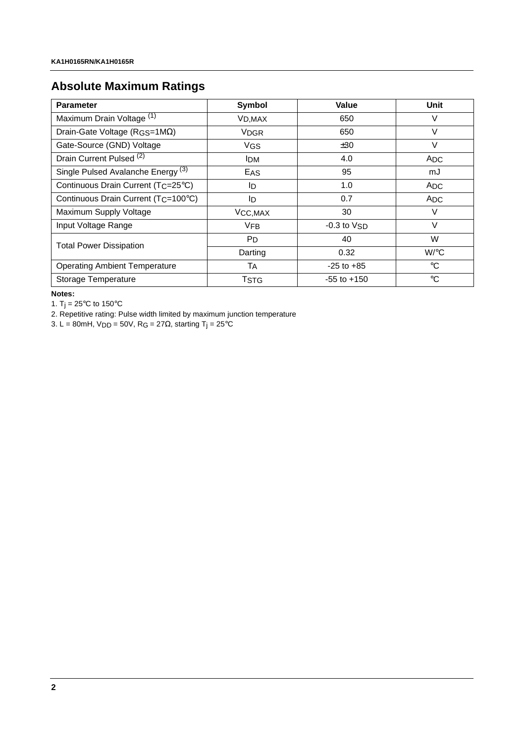### **Absolute Maximum Ratings**

| <b>Parameter</b>                                | Symbol               | Value           | Unit            |
|-------------------------------------------------|----------------------|-----------------|-----------------|
| Maximum Drain Voltage (1)                       | V <sub>D</sub> , MAX | 650             | V               |
| Drain-Gate Voltage (RGS=1MΩ)                    | <b>VDGR</b>          | 650             | $\vee$          |
| Gate-Source (GND) Voltage                       | <b>VGS</b>           | ±30             | V               |
| Drain Current Pulsed <sup>(2)</sup>             | <b>IDM</b>           | 4.0             | <b>ADC</b>      |
| Single Pulsed Avalanche Energy <sup>(3)</sup>   | EAS                  | 95              | mJ              |
| Continuous Drain Current (T <sub>C</sub> =25°C) | ID                   | 1.0             | <b>ADC</b>      |
| Continuous Drain Current (TC=100°C)             | ID                   | 0.7             | ADC.            |
| Maximum Supply Voltage                          | VCC, MAX             | 30              | V               |
| Input Voltage Range                             | <b>VFB</b>           | $-0.3$ to $VSD$ | $\vee$          |
| <b>Total Power Dissipation</b>                  | P <sub>D</sub>       | 40              | W               |
|                                                 | Darting              | 0.32            | $W$ /°C         |
| <b>Operating Ambient Temperature</b>            | Tд                   | $-25$ to $+85$  | $^{\circ}C$     |
| Storage Temperature                             | <b>TSTG</b>          | $-55$ to $+150$ | $\rm ^{\circ}C$ |

**Notes:**

1. T<sub>j</sub> = 25 $^{\circ}$ C to 150 $^{\circ}$ C

2. Repetitive rating: Pulse width limited by maximum junction temperature

3. L = 80mH, V<sub>DD</sub> = 50V, R<sub>G</sub> = 27Ω, starting T<sub>j</sub> = 25<sup>°</sup>C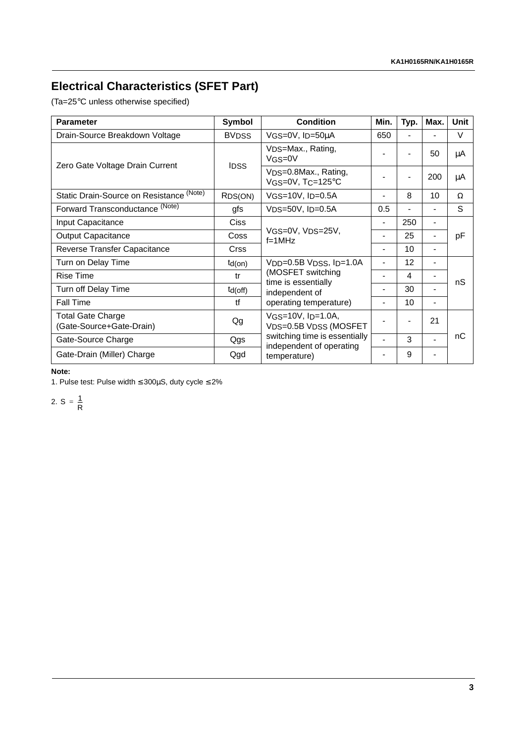## **Electrical Characteristics (SFET Part)**

(Ta=25°C unless otherwise specified)

| <b>Parameter</b>                                     | Symbol        | <b>Condition</b>                                                                                                                 | Min.                     | Typ.           | Max.                     | <b>Unit</b> |
|------------------------------------------------------|---------------|----------------------------------------------------------------------------------------------------------------------------------|--------------------------|----------------|--------------------------|-------------|
| Drain-Source Breakdown Voltage                       | <b>BVDSS</b>  | VGS=0V, ID=50µA                                                                                                                  | 650                      |                |                          | V           |
| Zero Gate Voltage Drain Current                      | <b>IDSS</b>   | VDS=Max., Rating,<br>$VGS=0V$                                                                                                    |                          |                | 50                       | μA          |
|                                                      |               | V <sub>DS</sub> =0.8Max., Rating,<br>VGS=0V, TC=125°C                                                                            |                          | $\overline{a}$ | 200                      | μA          |
| Static Drain-Source on Resistance (Note)             | RDS(ON)       | $VGS=10V$ , $I_D=0.5A$                                                                                                           |                          | 8              | 10                       | Ω           |
| Forward Transconductance (Note)                      | gfs           | $VDS=50V$ , $I_D=0.5A$                                                                                                           | 0.5                      |                |                          | S           |
| Input Capacitance                                    | <b>Ciss</b>   |                                                                                                                                  |                          | 250            | $\overline{\phantom{a}}$ |             |
| <b>Output Capacitance</b>                            | Coss          | VGS=0V, VDS=25V,<br>$f=1MHz$                                                                                                     |                          | 25             |                          | pF          |
| Reverse Transfer Capacitance                         | <b>Crss</b>   |                                                                                                                                  |                          | 10             | $\overline{\phantom{0}}$ |             |
| Turn on Delay Time                                   | $td($ on $)$  | $V_{DD} = 0.5B V_{DSS}$ , $I_{D} = 1.0A$<br>(MOSFET switching<br>time is essentially<br>independent of<br>operating temperature) |                          | 12             | $\overline{\phantom{a}}$ |             |
| <b>Rise Time</b>                                     | tr            |                                                                                                                                  |                          | 4              |                          | nS          |
| Turn off Delay Time                                  | $td($ off $)$ |                                                                                                                                  | -                        | 30             | $\overline{\phantom{a}}$ |             |
| <b>Fall Time</b>                                     | tf            |                                                                                                                                  | $\overline{\phantom{a}}$ | 10             | $\overline{\phantom{0}}$ |             |
| <b>Total Gate Charge</b><br>(Gate-Source+Gate-Drain) | Qg            | $VGS=10V$ , $I_D=1.0A$ ,<br>VDS=0.5B VDSS (MOSFET<br>switching time is essentially<br>independent of operating<br>temperature)   |                          |                | 21                       |             |
| Gate-Source Charge                                   | Qgs           |                                                                                                                                  |                          | 3              |                          | nC          |
| Gate-Drain (Miller) Charge                           | Qgd           |                                                                                                                                  |                          | 9              |                          |             |

#### **Note:**

1. Pulse test: Pulse width ≤ 300µS, duty cycle ≤ 2%

2.  $S = \frac{1}{R}$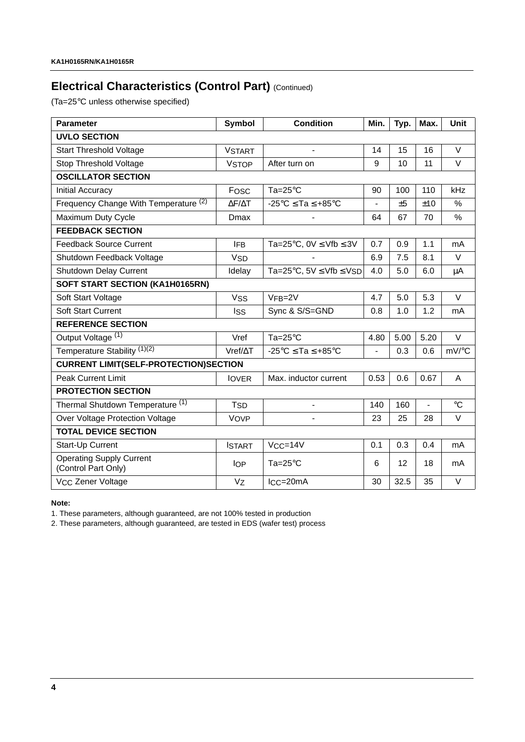### **Electrical Characteristics (Control Part) (Continued)**

(Ta=25°C unless otherwise specified)

| <b>Parameter</b>                                       | <b>Symbol</b>          | <b>Condition</b>                                | Min.           | Typ. | Max.           | Unit            |
|--------------------------------------------------------|------------------------|-------------------------------------------------|----------------|------|----------------|-----------------|
| <b>UVLO SECTION</b>                                    |                        |                                                 |                |      |                |                 |
| <b>Start Threshold Voltage</b>                         | <b>VSTART</b>          |                                                 | 14             | 15   | 16             | $\vee$          |
| Stop Threshold Voltage                                 | <b>VSTOP</b>           | After turn on                                   | 9              | 10   | 11             | $\vee$          |
| <b>OSCILLATOR SECTION</b>                              |                        |                                                 |                |      |                |                 |
| <b>Initial Accuracy</b>                                | Fosc                   | Ta= $25^{\circ}$ C                              | 90             | 100  | 110            | kHz             |
| Frequency Change With Temperature (2)                  | $\Delta$ F/ $\Delta$ T | $-25^{\circ}$ C $\le$ Ta $\le$ +85 $^{\circ}$ C | $\overline{a}$ | ±5   | ±10            | $\%$            |
| Maximum Duty Cycle                                     | Dmax                   |                                                 | 64             | 67   | 70             | %               |
| <b>FEEDBACK SECTION</b>                                |                        |                                                 |                |      |                |                 |
| <b>Feedback Source Current</b>                         | <b>IFB</b>             | Ta=25°C, $0V \leq Vfb \leq 3V$                  | 0.7            | 0.9  | 1.1            | mA              |
| Shutdown Feedback Voltage                              | <b>V<sub>SD</sub></b>  |                                                 | 6.9            | 7.5  | 8.1            | $\vee$          |
| Shutdown Delay Current                                 | Idelay                 | Ta=25°C, $5V \leq Vfb \leq VSD$                 | 4.0            | 5.0  | 6.0            | μA              |
| SOFT START SECTION (KA1H0165RN)                        |                        |                                                 |                |      |                |                 |
| Soft Start Voltage                                     | <b>VSS</b>             | $VFB=2V$                                        | 4.7            | 5.0  | 5.3            | $\vee$          |
| <b>Soft Start Current</b>                              | Iss                    | Sync & S/S=GND                                  | 0.8            | 1.0  | 1.2            | mA              |
| <b>REFERENCE SECTION</b>                               |                        |                                                 |                |      |                |                 |
| Output Voltage <sup>(1)</sup>                          | Vref                   | $Ta=25^{\circ}C$                                | 4.80           | 5.00 | 5.20           | $\vee$          |
| Temperature Stability (1)(2)                           | $Vref/\Delta T$        | $-25^{\circ}$ C $\le$ Ta $\le$ +85 $^{\circ}$ C | $\blacksquare$ | 0.3  | 0.6            | mV/°C           |
| <b>CURRENT LIMIT(SELF-PROTECTION)SECTION</b>           |                        |                                                 |                |      |                |                 |
| <b>Peak Current Limit</b>                              | <b>IOVER</b>           | Max. inductor current                           | 0.53           | 0.6  | 0.67           | A               |
| <b>PROTECTION SECTION</b>                              |                        |                                                 |                |      |                |                 |
| Thermal Shutdown Temperature <sup>(1)</sup>            | <b>T<sub>SD</sub></b>  | $\overline{a}$                                  | 140            | 160  | $\overline{a}$ | $\rm ^{\circ}C$ |
| Over Voltage Protection Voltage                        | <b>VOVP</b>            |                                                 | 23             | 25   | 28             | $\vee$          |
| <b>TOTAL DEVICE SECTION</b>                            |                        |                                                 |                |      |                |                 |
| Start-Up Current                                       | <b>ISTART</b>          | $VCC = 14V$                                     | 0.1            | 0.3  | 0.4            | mA              |
| <b>Operating Supply Current</b><br>(Control Part Only) | <b>IOP</b>             | Ta= $25^{\circ}$ C                              | 6              | 12   | 18             | mA              |
| V <sub>CC</sub> Zener Voltage                          | Vz                     | $ICC = 20mA$                                    | 30             | 32.5 | 35             | $\vee$          |

**Note:**

1. These parameters, although guaranteed, are not 100% tested in production

2. These parameters, although guaranteed, are tested in EDS (wafer test) process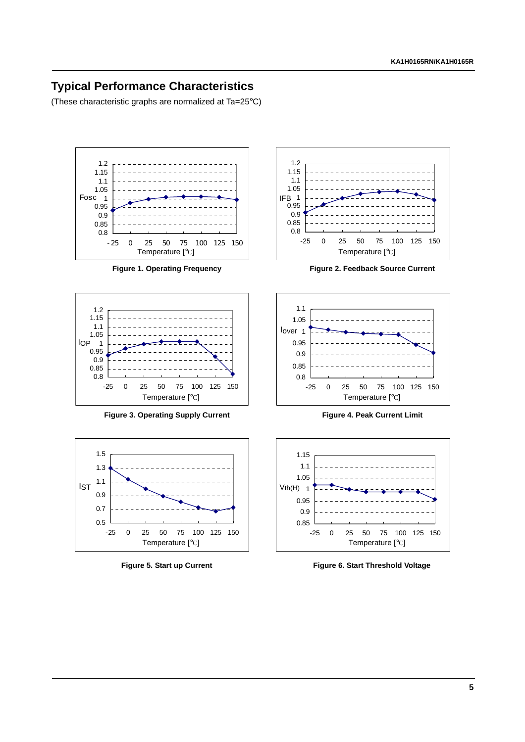### **Typical Performance Characteristics**

(These characteristic graphs are normalized at Ta=25°C)





Figure 3. Operating Supply Current **Figure 4. Peak Current Limit** 





**Figure 1. Operating Frequency Figure 2. Feedback Source Current**





Figure 5. Start up Current **Figure 6. Start Threshold Voltage**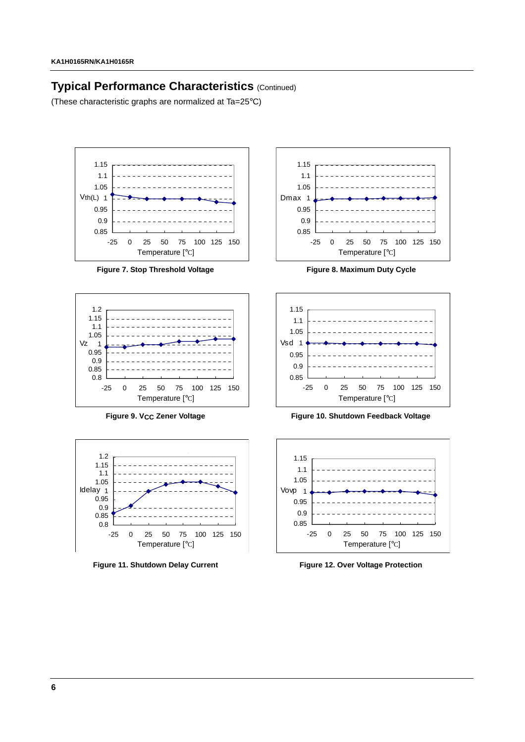### **Typical Performance Characteristics (Continued)**

(These characteristic graphs are normalized at Ta=25°C)



Figure 7. Stop Threshold Voltage **Figure 8. Maximum Duty Cycle** 









Figure 9. V<sub>CC</sub> Zener Voltage **Figure 10. Shutdown Feedback Voltage** 



Figure 11. Shutdown Delay Current Figure 12. Over Voltage Protection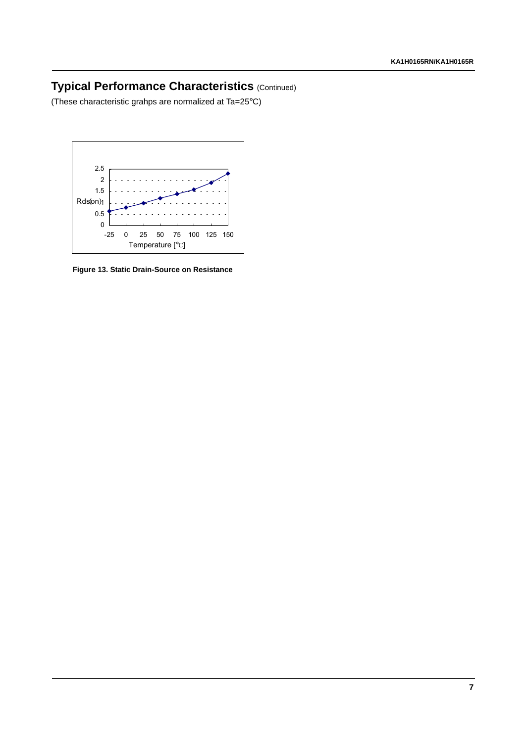### **Typical Performance Characteristics** (Continued)

(These characteristic grahps are normalized at Ta=25°C)



**Figure 13. Static Drain-Source on Resistance**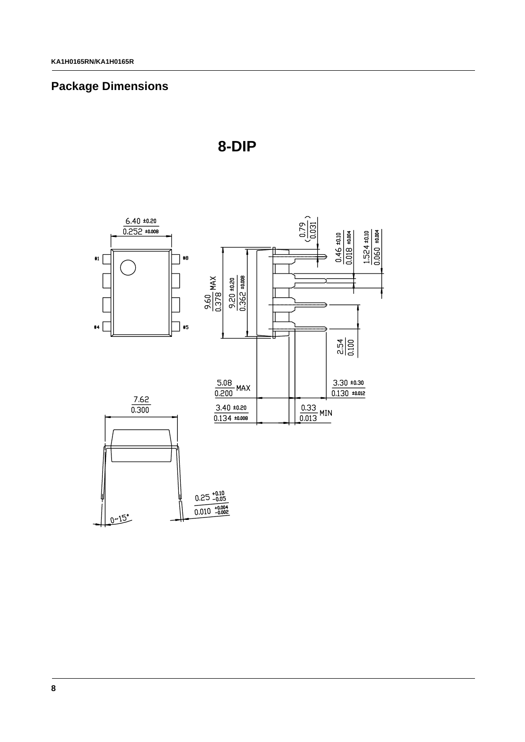### **Package Dimensions**



**8-DIP**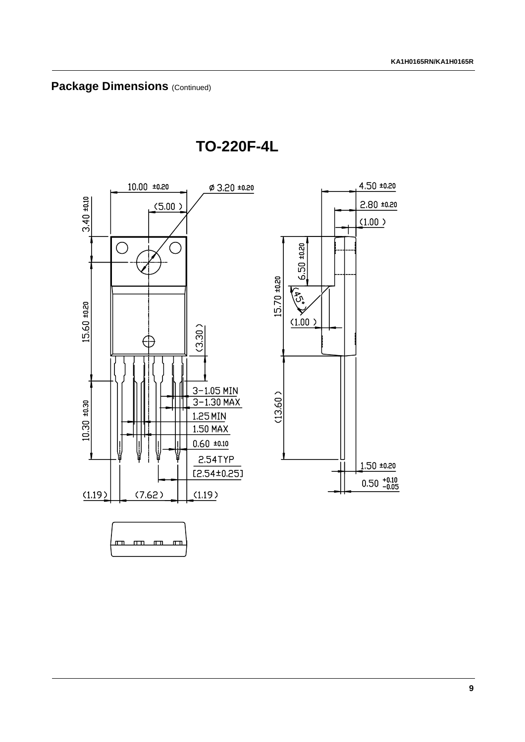

**TO-220F-4L**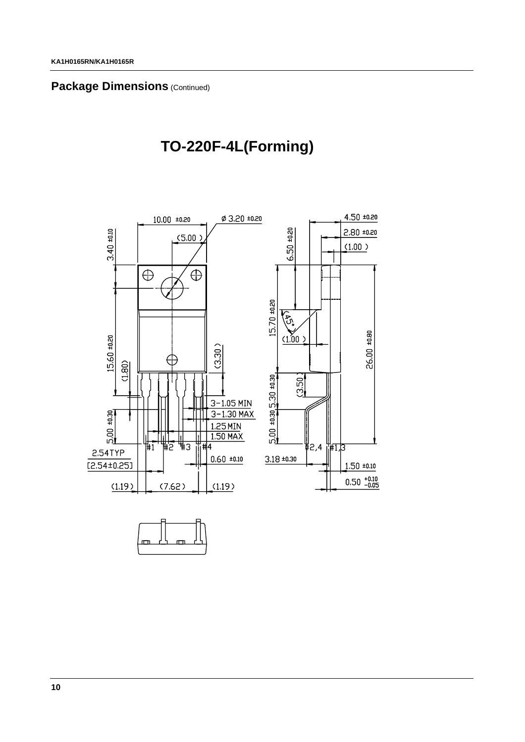#### **Package Dimensions (Continued)**

## **TO-220F-4L(Forming)**

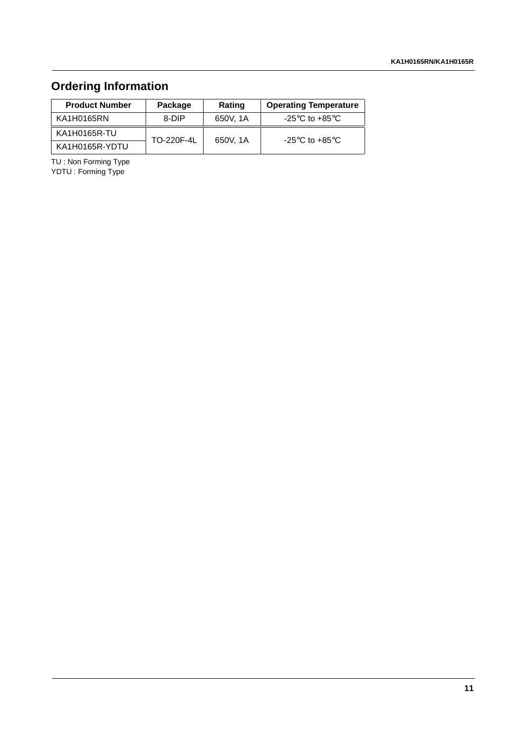## **Ordering Information**

| <b>Product Number</b> | Package    | Rating   | <b>Operating Temperature</b>                         |  |  |
|-----------------------|------------|----------|------------------------------------------------------|--|--|
| KA1H0165RN            | 8-DIP      | 650V, 1A | -25 $\mathrm{^{\circ}C}$ to +85 $\mathrm{^{\circ}C}$ |  |  |
| KA1H0165R-TU          | TO-220F-4L | 650V, 1A | -25 $\mathrm{^{\circ}C}$ to +85 $\mathrm{^{\circ}C}$ |  |  |
| KA1H0165R-YDTU        |            |          |                                                      |  |  |

TU : Non Forming Type YDTU : Forming Type